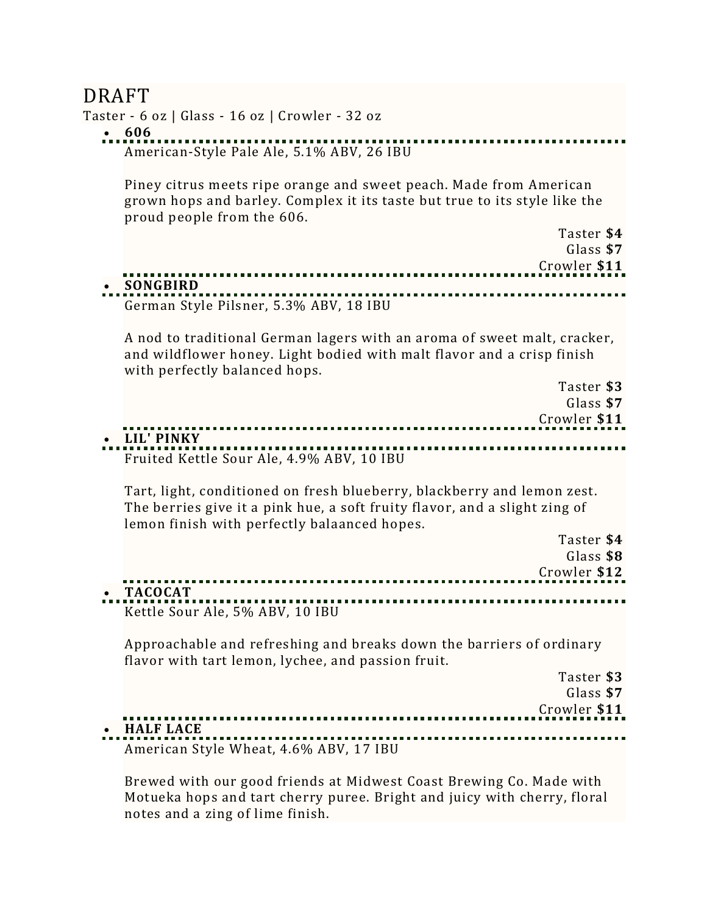## DRAFT

Taster - 6 oz | Glass - 16 oz | Crowler - 32 oz

## • **606**

American-Style Pale Ale, 5.1% ABV, 26 IBU

Piney citrus meets ripe orange and sweet peach. Made from American grown hops and barley. Complex it its taste but true to its style like the proud people from the 606.

| Taster \$4<br>Glass \$7<br>Crowler \$11                                                                                                                                                               |
|-------------------------------------------------------------------------------------------------------------------------------------------------------------------------------------------------------|
| <b>SONGBIRD</b>                                                                                                                                                                                       |
| German Style Pilsner, 5.3% ABV, 18 IBU                                                                                                                                                                |
| A nod to traditional German lagers with an aroma of sweet malt, cracker,<br>and wildflower honey. Light bodied with malt flavor and a crisp finish<br>with perfectly balanced hops.                   |
| Taster \$3                                                                                                                                                                                            |
| Glass \$7                                                                                                                                                                                             |
| Crowler \$11                                                                                                                                                                                          |
| LIL' PINKY                                                                                                                                                                                            |
|                                                                                                                                                                                                       |
| Fruited Kettle Sour Ale, 4.9% ABV, 10 IBU                                                                                                                                                             |
| Tart, light, conditioned on fresh blueberry, blackberry and lemon zest.<br>The berries give it a pink hue, a soft fruity flavor, and a slight zing of<br>lemon finish with perfectly balaanced hopes. |
| Taster \$4                                                                                                                                                                                            |
| Glass \$8                                                                                                                                                                                             |
| Crowler \$12                                                                                                                                                                                          |
| <b>TACOCAT</b>                                                                                                                                                                                        |
| Kettle Sour Ale, 5% ABV, 10 IBU                                                                                                                                                                       |
| Approachable and refreshing and breaks down the barriers of ordinary<br>flavor with tart lemon, lychee, and passion fruit.                                                                            |
| Taster \$3                                                                                                                                                                                            |
| Glass \$7                                                                                                                                                                                             |
| Crowler \$11                                                                                                                                                                                          |
|                                                                                                                                                                                                       |

## • **HALF LACE**

American Style Wheat, 4.6% ABV, 17 IBU

Brewed with our good friends at Midwest Coast Brewing Co. Made with Motueka hops and tart cherry puree. Bright and juicy with cherry, floral notes and a zing of lime finish.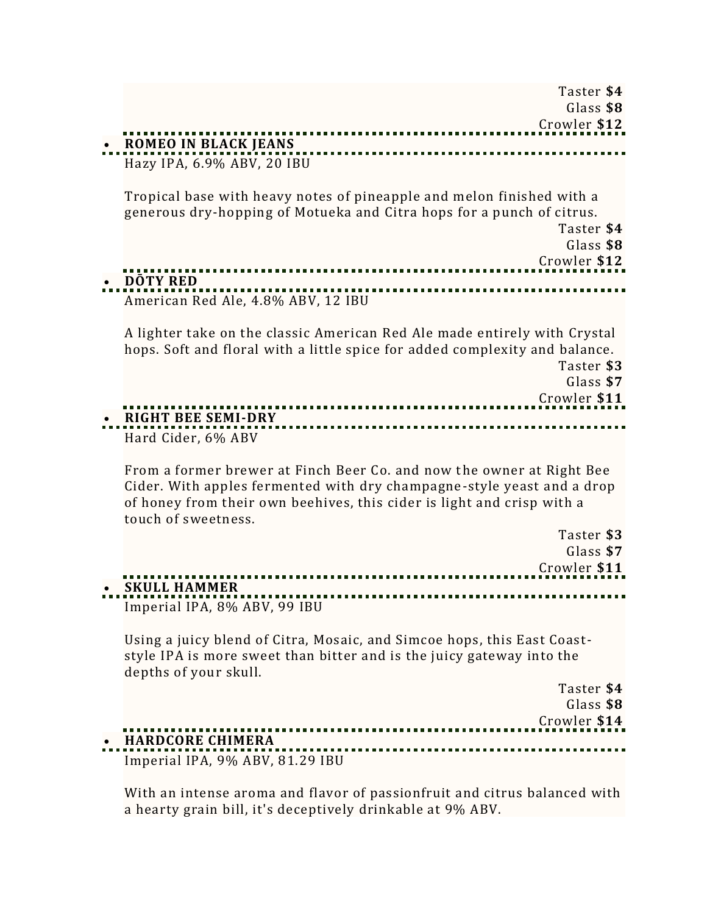| Taster \$4                                                                                                                                      |
|-------------------------------------------------------------------------------------------------------------------------------------------------|
| Glass \$8                                                                                                                                       |
| Crowler \$12                                                                                                                                    |
| <b>ROMEO IN BLACK JEANS</b>                                                                                                                     |
| Hazy IPA, 6.9% ABV, 20 IBU                                                                                                                      |
| Tropical base with heavy notes of pineapple and melon finished with a                                                                           |
| generous dry-hopping of Motueka and Citra hops for a punch of citrus.                                                                           |
| Taster \$4                                                                                                                                      |
| Glass \$8<br>Crowler \$12                                                                                                                       |
| DOTY RED                                                                                                                                        |
| American Red Ale, 4.8% ABV, 12 IBU                                                                                                              |
|                                                                                                                                                 |
| A lighter take on the classic American Red Ale made entirely with Crystal                                                                       |
| hops. Soft and floral with a little spice for added complexity and balance.<br>Taster \$3                                                       |
| Glass \$7                                                                                                                                       |
| Crowler \$11                                                                                                                                    |
| <b>RIGHT BEE SEMI-DRY</b>                                                                                                                       |
| Hard Cider, 6% ABV                                                                                                                              |
|                                                                                                                                                 |
| From a former brewer at Finch Beer Co. and now the owner at Right Bee<br>Cider. With apples fermented with dry champagne-style yeast and a drop |
| of honey from their own beehives, this cider is light and crisp with a                                                                          |
| touch of sweetness.                                                                                                                             |
| Taster \$3<br>Glass \$7                                                                                                                         |
| Crowler \$11                                                                                                                                    |
| <b>SKULL HAMMER</b>                                                                                                                             |
| Imperial IPA, 8% ABV, 99 IBU                                                                                                                    |
|                                                                                                                                                 |
| Using a juicy blend of Citra, Mosaic, and Simcoe hops, this East Coast-                                                                         |
| style IPA is more sweet than bitter and is the juicy gateway into the<br>depths of your skull.                                                  |
| Taster \$4                                                                                                                                      |
| Glass \$8                                                                                                                                       |
| Crowler \$14                                                                                                                                    |
| <b>HARDCORE CHIMERA</b>                                                                                                                         |
| Imperial IPA, 9% ABV, 81.29 IBU                                                                                                                 |

With an intense aroma and flavor of passionfruit and citrus balanced with a hearty grain bill, it's deceptively drinkable at 9% ABV.